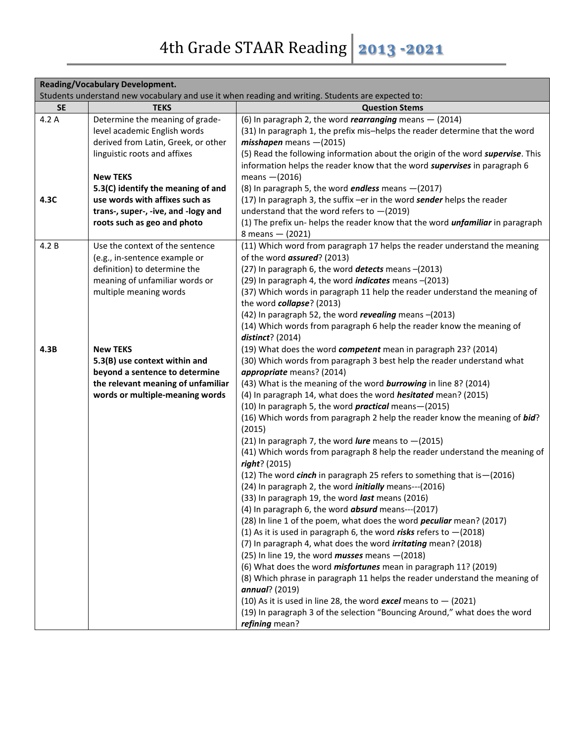| <b>Reading/Vocabulary Development.</b> |                                     |                                                                                                                                             |
|----------------------------------------|-------------------------------------|---------------------------------------------------------------------------------------------------------------------------------------------|
|                                        |                                     | Students understand new vocabulary and use it when reading and writing. Students are expected to:                                           |
| <b>SE</b>                              | <b>TEKS</b>                         | <b>Question Stems</b>                                                                                                                       |
| 4.2A                                   | Determine the meaning of grade-     | (6) In paragraph 2, the word <i>rearranging</i> means $-$ (2014)                                                                            |
|                                        | level academic English words        | (31) In paragraph 1, the prefix mis-helps the reader determine that the word                                                                |
|                                        | derived from Latin, Greek, or other | $misshapen$ means $-(2015)$                                                                                                                 |
|                                        | linguistic roots and affixes        | (5) Read the following information about the origin of the word supervise. This                                                             |
|                                        |                                     | information helps the reader know that the word supervises in paragraph 6                                                                   |
|                                        | <b>New TEKS</b>                     | means $-(2016)$                                                                                                                             |
|                                        | 5.3(C) identify the meaning of and  | (8) In paragraph 5, the word endless means -(2017)                                                                                          |
| 4.3C                                   | use words with affixes such as      | (17) In paragraph 3, the suffix -er in the word sender helps the reader                                                                     |
|                                        | trans-, super-, -ive, and -logy and | understand that the word refers to $-(2019)$                                                                                                |
|                                        | roots such as geo and photo         | (1) The prefix un-helps the reader know that the word <i>unfamiliar</i> in paragraph                                                        |
|                                        |                                     | 8 means $-$ (2021)                                                                                                                          |
| 4.2 B                                  | Use the context of the sentence     | (11) Which word from paragraph 17 helps the reader understand the meaning                                                                   |
|                                        | (e.g., in-sentence example or       | of the word <i>assured</i> ? (2013)                                                                                                         |
|                                        | definition) to determine the        | (27) In paragraph 6, the word detects means -(2013)                                                                                         |
|                                        | meaning of unfamiliar words or      | (29) In paragraph 4, the word <i>indicates</i> means -(2013)                                                                                |
|                                        | multiple meaning words              | (37) Which words in paragraph 11 help the reader understand the meaning of                                                                  |
|                                        |                                     | the word collapse? (2013)                                                                                                                   |
|                                        |                                     | (42) In paragraph 52, the word revealing means -(2013)                                                                                      |
|                                        |                                     | (14) Which words from paragraph 6 help the reader know the meaning of                                                                       |
|                                        |                                     | $distinct?$ (2014)                                                                                                                          |
| 4.3B                                   | <b>New TEKS</b>                     | (19) What does the word competent mean in paragraph 23? (2014)                                                                              |
|                                        | 5.3(B) use context within and       | (30) Which words from paragraph 3 best help the reader understand what                                                                      |
|                                        | beyond a sentence to determine      | appropriate means? (2014)                                                                                                                   |
|                                        | the relevant meaning of unfamiliar  | (43) What is the meaning of the word <b>burrowing</b> in line 8? (2014)                                                                     |
|                                        | words or multiple-meaning words     | (4) In paragraph 14, what does the word <i>hesitated</i> mean? (2015)                                                                       |
|                                        |                                     | (10) In paragraph 5, the word <i>practical</i> means-(2015)                                                                                 |
|                                        |                                     | (16) Which words from paragraph 2 help the reader know the meaning of bid?<br>(2015)                                                        |
|                                        |                                     |                                                                                                                                             |
|                                        |                                     | (21) In paragraph 7, the word <i>lure</i> means to $-(2015)$<br>(41) Which words from paragraph 8 help the reader understand the meaning of |
|                                        |                                     | right? (2015)                                                                                                                               |
|                                        |                                     | (12) The word cinch in paragraph 25 refers to something that is - (2016)                                                                    |
|                                        |                                     | (24) In paragraph 2, the word <i>initially</i> means---(2016)                                                                               |
|                                        |                                     | (33) In paragraph 19, the word <i>last</i> means (2016)                                                                                     |
|                                        |                                     | (4) In paragraph 6, the word <b>absurd</b> means---(2017)                                                                                   |
|                                        |                                     | (28) In line 1 of the poem, what does the word <i>peculiar</i> mean? (2017)                                                                 |
|                                        |                                     | (1) As it is used in paragraph 6, the word risks refers to $-(2018)$                                                                        |
|                                        |                                     | (7) In paragraph 4, what does the word <i>irritating</i> mean? (2018)                                                                       |
|                                        |                                     | (25) In line 19, the word <i>musses</i> means $-(2018)$                                                                                     |
|                                        |                                     | (6) What does the word <i>misfortunes</i> mean in paragraph 11? (2019)                                                                      |
|                                        |                                     | (8) Which phrase in paragraph 11 helps the reader understand the meaning of                                                                 |
|                                        |                                     | annual? (2019)                                                                                                                              |
|                                        |                                     | (10) As it is used in line 28, the word excel means to $-$ (2021)                                                                           |
|                                        |                                     | (19) In paragraph 3 of the selection "Bouncing Around," what does the word                                                                  |
|                                        |                                     | refining mean?                                                                                                                              |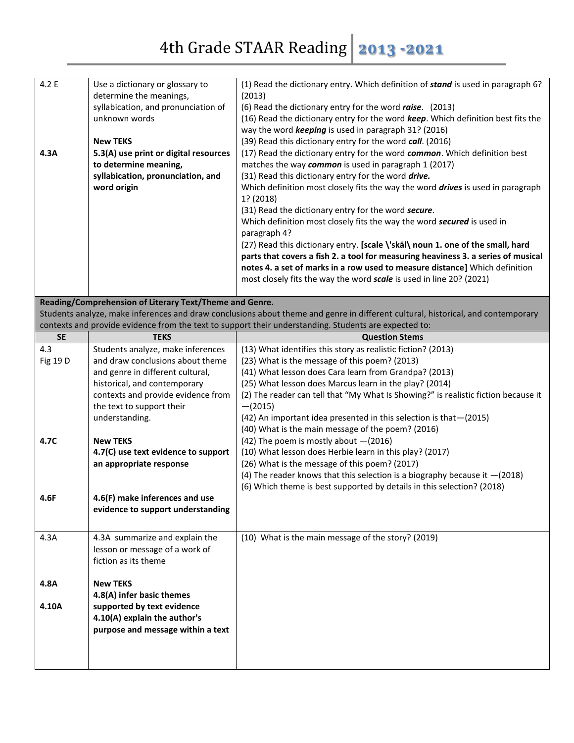| 4.2 E<br>4.3A | Use a dictionary or glossary to<br>determine the meanings,<br>syllabication, and pronunciation of<br>unknown words<br><b>New TEKS</b><br>5.3(A) use print or digital resources<br>to determine meaning,<br>syllabication, pronunciation, and<br>word origin | (1) Read the dictionary entry. Which definition of stand is used in paragraph 6?<br>(2013)<br>(6) Read the dictionary entry for the word raise. (2013)<br>(16) Read the dictionary entry for the word keep. Which definition best fits the<br>way the word keeping is used in paragraph 31? (2016)<br>(39) Read this dictionary entry for the word call. (2016)<br>(17) Read the dictionary entry for the word common. Which definition best<br>matches the way common is used in paragraph 1 (2017)<br>(31) Read this dictionary entry for the word drive.<br>Which definition most closely fits the way the word <i>drives</i> is used in paragraph<br>1? (2018)<br>(31) Read the dictionary entry for the word secure.<br>Which definition most closely fits the way the word secured is used in<br>paragraph 4?<br>(27) Read this dictionary entry. [scale \'skal\ noun 1. one of the small, hard<br>parts that covers a fish 2. a tool for measuring heaviness 3. a series of musical<br>notes 4. a set of marks in a row used to measure distance] Which definition<br>most closely fits the way the word scale is used in line 20? (2021) |
|---------------|-------------------------------------------------------------------------------------------------------------------------------------------------------------------------------------------------------------------------------------------------------------|--------------------------------------------------------------------------------------------------------------------------------------------------------------------------------------------------------------------------------------------------------------------------------------------------------------------------------------------------------------------------------------------------------------------------------------------------------------------------------------------------------------------------------------------------------------------------------------------------------------------------------------------------------------------------------------------------------------------------------------------------------------------------------------------------------------------------------------------------------------------------------------------------------------------------------------------------------------------------------------------------------------------------------------------------------------------------------------------------------------------------------------------------|
|               |                                                                                                                                                                                                                                                             |                                                                                                                                                                                                                                                                                                                                                                                                                                                                                                                                                                                                                                                                                                                                                                                                                                                                                                                                                                                                                                                                                                                                                  |
|               | Reading/Comprehension of Literary Text/Theme and Genre.                                                                                                                                                                                                     |                                                                                                                                                                                                                                                                                                                                                                                                                                                                                                                                                                                                                                                                                                                                                                                                                                                                                                                                                                                                                                                                                                                                                  |
|               |                                                                                                                                                                                                                                                             | Students analyze, make inferences and draw conclusions about theme and genre in different cultural, historical, and contemporary<br>contexts and provide evidence from the text to support their understanding. Students are expected to:                                                                                                                                                                                                                                                                                                                                                                                                                                                                                                                                                                                                                                                                                                                                                                                                                                                                                                        |
|               |                                                                                                                                                                                                                                                             |                                                                                                                                                                                                                                                                                                                                                                                                                                                                                                                                                                                                                                                                                                                                                                                                                                                                                                                                                                                                                                                                                                                                                  |
| <b>SE</b>     | <b>TEKS</b>                                                                                                                                                                                                                                                 | <b>Question Stems</b>                                                                                                                                                                                                                                                                                                                                                                                                                                                                                                                                                                                                                                                                                                                                                                                                                                                                                                                                                                                                                                                                                                                            |
| 4.3           | Students analyze, make inferences                                                                                                                                                                                                                           | (13) What identifies this story as realistic fiction? (2013)                                                                                                                                                                                                                                                                                                                                                                                                                                                                                                                                                                                                                                                                                                                                                                                                                                                                                                                                                                                                                                                                                     |
| Fig 19 D      | and draw conclusions about theme                                                                                                                                                                                                                            | (23) What is the message of this poem? (2013)                                                                                                                                                                                                                                                                                                                                                                                                                                                                                                                                                                                                                                                                                                                                                                                                                                                                                                                                                                                                                                                                                                    |
|               | and genre in different cultural,                                                                                                                                                                                                                            | (41) What lesson does Cara learn from Grandpa? (2013)                                                                                                                                                                                                                                                                                                                                                                                                                                                                                                                                                                                                                                                                                                                                                                                                                                                                                                                                                                                                                                                                                            |
|               | historical, and contemporary                                                                                                                                                                                                                                | (25) What lesson does Marcus learn in the play? (2014)                                                                                                                                                                                                                                                                                                                                                                                                                                                                                                                                                                                                                                                                                                                                                                                                                                                                                                                                                                                                                                                                                           |
|               | contexts and provide evidence from                                                                                                                                                                                                                          | (2) The reader can tell that "My What Is Showing?" is realistic fiction because it                                                                                                                                                                                                                                                                                                                                                                                                                                                                                                                                                                                                                                                                                                                                                                                                                                                                                                                                                                                                                                                               |
|               | the text to support their                                                                                                                                                                                                                                   | $-(2015)$                                                                                                                                                                                                                                                                                                                                                                                                                                                                                                                                                                                                                                                                                                                                                                                                                                                                                                                                                                                                                                                                                                                                        |
|               | understanding.                                                                                                                                                                                                                                              | (42) An important idea presented in this selection is that - (2015)                                                                                                                                                                                                                                                                                                                                                                                                                                                                                                                                                                                                                                                                                                                                                                                                                                                                                                                                                                                                                                                                              |
|               |                                                                                                                                                                                                                                                             | (40) What is the main message of the poem? (2016)                                                                                                                                                                                                                                                                                                                                                                                                                                                                                                                                                                                                                                                                                                                                                                                                                                                                                                                                                                                                                                                                                                |
| 4.7C          | <b>New TEKS</b>                                                                                                                                                                                                                                             | (42) The poem is mostly about $-(2016)$                                                                                                                                                                                                                                                                                                                                                                                                                                                                                                                                                                                                                                                                                                                                                                                                                                                                                                                                                                                                                                                                                                          |
|               | 4.7(C) use text evidence to support                                                                                                                                                                                                                         | (10) What lesson does Herbie learn in this play? (2017)                                                                                                                                                                                                                                                                                                                                                                                                                                                                                                                                                                                                                                                                                                                                                                                                                                                                                                                                                                                                                                                                                          |
|               | an appropriate response                                                                                                                                                                                                                                     | (26) What is the message of this poem? (2017)                                                                                                                                                                                                                                                                                                                                                                                                                                                                                                                                                                                                                                                                                                                                                                                                                                                                                                                                                                                                                                                                                                    |
|               |                                                                                                                                                                                                                                                             | (4) The reader knows that this selection is a biography because it $-(2018)$                                                                                                                                                                                                                                                                                                                                                                                                                                                                                                                                                                                                                                                                                                                                                                                                                                                                                                                                                                                                                                                                     |
|               |                                                                                                                                                                                                                                                             | (6) Which theme is best supported by details in this selection? (2018)                                                                                                                                                                                                                                                                                                                                                                                                                                                                                                                                                                                                                                                                                                                                                                                                                                                                                                                                                                                                                                                                           |
| 4.6F          | 4.6(F) make inferences and use                                                                                                                                                                                                                              |                                                                                                                                                                                                                                                                                                                                                                                                                                                                                                                                                                                                                                                                                                                                                                                                                                                                                                                                                                                                                                                                                                                                                  |
|               | evidence to support understanding                                                                                                                                                                                                                           |                                                                                                                                                                                                                                                                                                                                                                                                                                                                                                                                                                                                                                                                                                                                                                                                                                                                                                                                                                                                                                                                                                                                                  |
|               |                                                                                                                                                                                                                                                             |                                                                                                                                                                                                                                                                                                                                                                                                                                                                                                                                                                                                                                                                                                                                                                                                                                                                                                                                                                                                                                                                                                                                                  |
| 4.3A          | 4.3A summarize and explain the                                                                                                                                                                                                                              | (10) What is the main message of the story? (2019)                                                                                                                                                                                                                                                                                                                                                                                                                                                                                                                                                                                                                                                                                                                                                                                                                                                                                                                                                                                                                                                                                               |
|               | lesson or message of a work of                                                                                                                                                                                                                              |                                                                                                                                                                                                                                                                                                                                                                                                                                                                                                                                                                                                                                                                                                                                                                                                                                                                                                                                                                                                                                                                                                                                                  |
|               |                                                                                                                                                                                                                                                             |                                                                                                                                                                                                                                                                                                                                                                                                                                                                                                                                                                                                                                                                                                                                                                                                                                                                                                                                                                                                                                                                                                                                                  |
|               | fiction as its theme                                                                                                                                                                                                                                        |                                                                                                                                                                                                                                                                                                                                                                                                                                                                                                                                                                                                                                                                                                                                                                                                                                                                                                                                                                                                                                                                                                                                                  |
|               |                                                                                                                                                                                                                                                             |                                                                                                                                                                                                                                                                                                                                                                                                                                                                                                                                                                                                                                                                                                                                                                                                                                                                                                                                                                                                                                                                                                                                                  |
| 4.8A          | <b>New TEKS</b>                                                                                                                                                                                                                                             |                                                                                                                                                                                                                                                                                                                                                                                                                                                                                                                                                                                                                                                                                                                                                                                                                                                                                                                                                                                                                                                                                                                                                  |
|               | 4.8(A) infer basic themes                                                                                                                                                                                                                                   |                                                                                                                                                                                                                                                                                                                                                                                                                                                                                                                                                                                                                                                                                                                                                                                                                                                                                                                                                                                                                                                                                                                                                  |
| 4.10A         | supported by text evidence                                                                                                                                                                                                                                  |                                                                                                                                                                                                                                                                                                                                                                                                                                                                                                                                                                                                                                                                                                                                                                                                                                                                                                                                                                                                                                                                                                                                                  |
|               | 4.10(A) explain the author's                                                                                                                                                                                                                                |                                                                                                                                                                                                                                                                                                                                                                                                                                                                                                                                                                                                                                                                                                                                                                                                                                                                                                                                                                                                                                                                                                                                                  |
|               | purpose and message within a text                                                                                                                                                                                                                           |                                                                                                                                                                                                                                                                                                                                                                                                                                                                                                                                                                                                                                                                                                                                                                                                                                                                                                                                                                                                                                                                                                                                                  |
|               |                                                                                                                                                                                                                                                             |                                                                                                                                                                                                                                                                                                                                                                                                                                                                                                                                                                                                                                                                                                                                                                                                                                                                                                                                                                                                                                                                                                                                                  |
|               |                                                                                                                                                                                                                                                             |                                                                                                                                                                                                                                                                                                                                                                                                                                                                                                                                                                                                                                                                                                                                                                                                                                                                                                                                                                                                                                                                                                                                                  |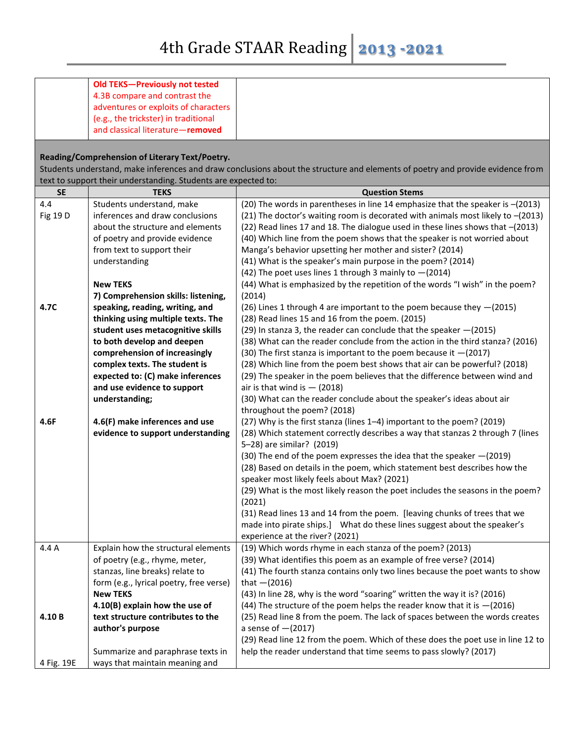|                 | <b>Old TEKS-Previously not tested</b>                                 |                                                                                                                                |
|-----------------|-----------------------------------------------------------------------|--------------------------------------------------------------------------------------------------------------------------------|
|                 | 4.3B compare and contrast the                                         |                                                                                                                                |
|                 | adventures or exploits of characters                                  |                                                                                                                                |
|                 | (e.g., the trickster) in traditional                                  |                                                                                                                                |
|                 | and classical literature-removed                                      |                                                                                                                                |
|                 |                                                                       |                                                                                                                                |
|                 | Reading/Comprehension of Literary Text/Poetry.                        |                                                                                                                                |
|                 |                                                                       | Students understand, make inferences and draw conclusions about the structure and elements of poetry and provide evidence from |
|                 | text to support their understanding. Students are expected to:        |                                                                                                                                |
| <b>SE</b>       | <b>TEKS</b>                                                           | <b>Question Stems</b>                                                                                                          |
| 4.4             | Students understand, make                                             | (20) The words in parentheses in line 14 emphasize that the speaker is -(2013)                                                 |
| <b>Fig 19 D</b> | inferences and draw conclusions                                       | (21) The doctor's waiting room is decorated with animals most likely to -(2013)                                                |
|                 | about the structure and elements                                      | (22) Read lines 17 and 18. The dialogue used in these lines shows that -(2013)                                                 |
|                 | of poetry and provide evidence                                        | (40) Which line from the poem shows that the speaker is not worried about                                                      |
|                 | from text to support their                                            | Manga's behavior upsetting her mother and sister? (2014)                                                                       |
|                 | understanding                                                         | (41) What is the speaker's main purpose in the poem? (2014)                                                                    |
|                 |                                                                       | (42) The poet uses lines 1 through 3 mainly to $-(2014)$                                                                       |
|                 | <b>New TEKS</b>                                                       | (44) What is emphasized by the repetition of the words "I wish" in the poem?                                                   |
|                 | 7) Comprehension skills: listening,                                   | (2014)                                                                                                                         |
| 4.7C            | speaking, reading, writing, and                                       | (26) Lines 1 through 4 are important to the poem because they -(2015)                                                          |
|                 | thinking using multiple texts. The                                    | (28) Read lines 15 and 16 from the poem. (2015)                                                                                |
|                 | student uses metacognitive skills                                     | (29) In stanza 3, the reader can conclude that the speaker - (2015)                                                            |
|                 | to both develop and deepen                                            | (38) What can the reader conclude from the action in the third stanza? (2016)                                                  |
|                 | comprehension of increasingly                                         | (30) The first stanza is important to the poem because it $-(2017)$                                                            |
|                 | complex texts. The student is                                         | (28) Which line from the poem best shows that air can be powerful? (2018)                                                      |
|                 | expected to: (C) make inferences                                      | (29) The speaker in the poem believes that the difference between wind and                                                     |
|                 | and use evidence to support                                           | air is that wind is $-$ (2018)                                                                                                 |
|                 | understanding;                                                        | (30) What can the reader conclude about the speaker's ideas about air                                                          |
|                 |                                                                       | throughout the poem? (2018)                                                                                                    |
| 4.6F            | 4.6(F) make inferences and use                                        | (27) Why is the first stanza (lines 1-4) important to the poem? (2019)                                                         |
|                 | evidence to support understanding                                     | (28) Which statement correctly describes a way that stanzas 2 through 7 (lines                                                 |
|                 |                                                                       | 5-28) are similar? (2019)                                                                                                      |
|                 |                                                                       | (30) The end of the poem expresses the idea that the speaker - (2019)                                                          |
|                 |                                                                       | (28) Based on details in the poem, which statement best describes how the                                                      |
|                 |                                                                       | speaker most likely feels about Max? (2021)                                                                                    |
|                 |                                                                       | (29) What is the most likely reason the poet includes the seasons in the poem?                                                 |
|                 |                                                                       | (2021)                                                                                                                         |
|                 |                                                                       | (31) Read lines 13 and 14 from the poem. [leaving chunks of trees that we                                                      |
|                 |                                                                       | made into pirate ships.] What do these lines suggest about the speaker's                                                       |
| 4.4 A           |                                                                       | experience at the river? (2021)<br>(19) Which words rhyme in each stanza of the poem? (2013)                                   |
|                 | Explain how the structural elements<br>of poetry (e.g., rhyme, meter, | (39) What identifies this poem as an example of free verse? (2014)                                                             |
|                 | stanzas, line breaks) relate to                                       | (41) The fourth stanza contains only two lines because the poet wants to show                                                  |
|                 | form (e.g., lyrical poetry, free verse)                               | that $-(2016)$                                                                                                                 |
|                 | <b>New TEKS</b>                                                       | (43) In line 28, why is the word "soaring" written the way it is? (2016)                                                       |
|                 | 4.10(B) explain how the use of                                        | (44) The structure of the poem helps the reader know that it is $-(2016)$                                                      |
| 4.10B           | text structure contributes to the                                     | (25) Read line 8 from the poem. The lack of spaces between the words creates                                                   |
|                 | author's purpose                                                      | a sense of $-(2017)$                                                                                                           |
|                 |                                                                       | (29) Read line 12 from the poem. Which of these does the poet use in line 12 to                                                |
|                 | Summarize and paraphrase texts in                                     | help the reader understand that time seems to pass slowly? (2017)                                                              |
| 4 Fig. 19E      | ways that maintain meaning and                                        |                                                                                                                                |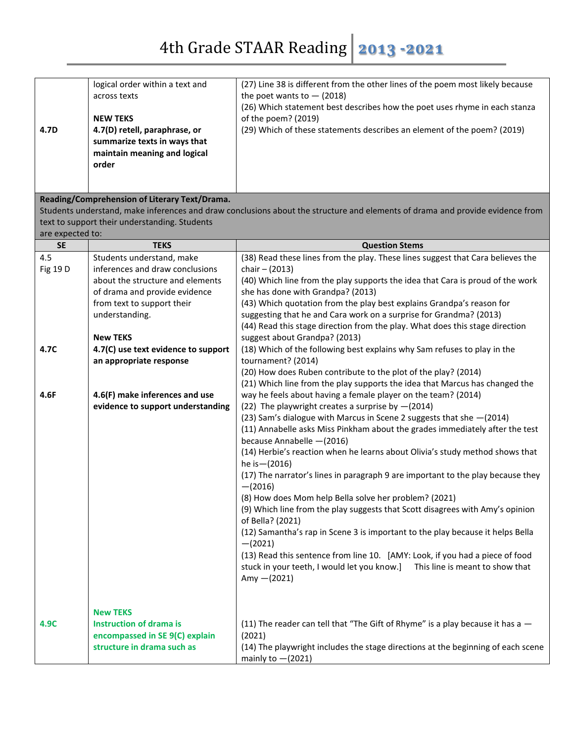| 4.7D                            | logical order within a text and<br>across texts<br><b>NEW TEKS</b><br>4.7(D) retell, paraphrase, or<br>summarize texts in ways that<br>maintain meaning and logical<br>order<br>Reading/Comprehension of Literary Text/Drama.                                                                                                                 | (27) Line 38 is different from the other lines of the poem most likely because<br>the poet wants to $-$ (2018)<br>(26) Which statement best describes how the poet uses rhyme in each stanza<br>of the poem? (2019)<br>(29) Which of these statements describes an element of the poem? (2019)<br>Students understand, make inferences and draw conclusions about the structure and elements of drama and provide evidence from                                                                                                                                                                                                                                                                                                                                                                                                                                                                                                                                                                                                                                                                                                                                                                                                                                                                                                                                                                                                                                                                                                                                                                                                                                                                       |
|---------------------------------|-----------------------------------------------------------------------------------------------------------------------------------------------------------------------------------------------------------------------------------------------------------------------------------------------------------------------------------------------|-------------------------------------------------------------------------------------------------------------------------------------------------------------------------------------------------------------------------------------------------------------------------------------------------------------------------------------------------------------------------------------------------------------------------------------------------------------------------------------------------------------------------------------------------------------------------------------------------------------------------------------------------------------------------------------------------------------------------------------------------------------------------------------------------------------------------------------------------------------------------------------------------------------------------------------------------------------------------------------------------------------------------------------------------------------------------------------------------------------------------------------------------------------------------------------------------------------------------------------------------------------------------------------------------------------------------------------------------------------------------------------------------------------------------------------------------------------------------------------------------------------------------------------------------------------------------------------------------------------------------------------------------------------------------------------------------------|
| are expected to:                | text to support their understanding. Students                                                                                                                                                                                                                                                                                                 |                                                                                                                                                                                                                                                                                                                                                                                                                                                                                                                                                                                                                                                                                                                                                                                                                                                                                                                                                                                                                                                                                                                                                                                                                                                                                                                                                                                                                                                                                                                                                                                                                                                                                                       |
| <b>SE</b>                       | <b>TEKS</b>                                                                                                                                                                                                                                                                                                                                   | <b>Question Stems</b>                                                                                                                                                                                                                                                                                                                                                                                                                                                                                                                                                                                                                                                                                                                                                                                                                                                                                                                                                                                                                                                                                                                                                                                                                                                                                                                                                                                                                                                                                                                                                                                                                                                                                 |
| 4.5<br>Fig 19 D<br>4.7C<br>4.6F | Students understand, make<br>inferences and draw conclusions<br>about the structure and elements<br>of drama and provide evidence<br>from text to support their<br>understanding.<br><b>New TEKS</b><br>4.7(C) use text evidence to support<br>an appropriate response<br>4.6(F) make inferences and use<br>evidence to support understanding | (38) Read these lines from the play. These lines suggest that Cara believes the<br>chair $- (2013)$<br>(40) Which line from the play supports the idea that Cara is proud of the work<br>she has done with Grandpa? (2013)<br>(43) Which quotation from the play best explains Grandpa's reason for<br>suggesting that he and Cara work on a surprise for Grandma? (2013)<br>(44) Read this stage direction from the play. What does this stage direction<br>suggest about Grandpa? (2013)<br>(18) Which of the following best explains why Sam refuses to play in the<br>tournament? (2014)<br>(2014) (2014) How does Ruben contribute to the plot of the play? (2014)<br>(21) Which line from the play supports the idea that Marcus has changed the<br>way he feels about having a female player on the team? (2014)<br>(22) The playwright creates a surprise by $-(2014)$<br>(23) Sam's dialogue with Marcus in Scene 2 suggests that she - (2014)<br>(11) Annabelle asks Miss Pinkham about the grades immediately after the test<br>because Annabelle -(2016)<br>(14) Herbie's reaction when he learns about Olivia's study method shows that<br>he is - (2016)<br>(17) The narrator's lines in paragraph 9 are important to the play because they<br>$-(2016)$<br>(8) How does Mom help Bella solve her problem? (2021)<br>(9) Which line from the play suggests that Scott disagrees with Amy's opinion<br>of Bella? (2021)<br>(12) Samantha's rap in Scene 3 is important to the play because it helps Bella<br>$-(2021)$<br>(13) Read this sentence from line 10. [AMY: Look, if you had a piece of food<br>stuck in your teeth, I would let you know.]<br>This line is meant to show that |
| 4.9C                            | <b>New TEKS</b><br><b>Instruction of drama is</b><br>encompassed in SE 9(C) explain<br>structure in drama such as                                                                                                                                                                                                                             | Amy $-(2021)$<br>(11) The reader can tell that "The Gift of Rhyme" is a play because it has a $-$<br>(2021)<br>(14) The playwright includes the stage directions at the beginning of each scene<br>mainly to $-(2021)$                                                                                                                                                                                                                                                                                                                                                                                                                                                                                                                                                                                                                                                                                                                                                                                                                                                                                                                                                                                                                                                                                                                                                                                                                                                                                                                                                                                                                                                                                |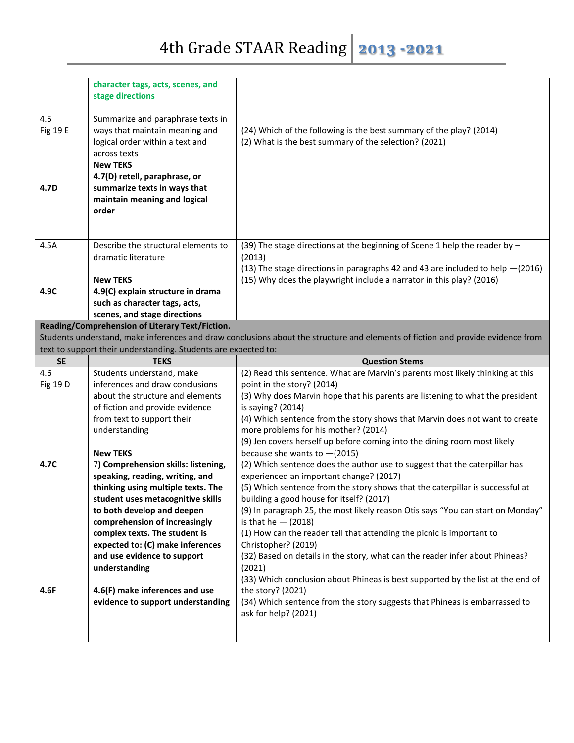|           | character tags, acts, scenes, and                              |                                                                                                                                 |
|-----------|----------------------------------------------------------------|---------------------------------------------------------------------------------------------------------------------------------|
|           | stage directions                                               |                                                                                                                                 |
|           |                                                                |                                                                                                                                 |
| 4.5       | Summarize and paraphrase texts in                              |                                                                                                                                 |
| Fig 19 E  | ways that maintain meaning and                                 | (24) Which of the following is the best summary of the play? (2014)                                                             |
|           | logical order within a text and                                | (2) What is the best summary of the selection? (2021)                                                                           |
|           | across texts                                                   |                                                                                                                                 |
|           | <b>New TEKS</b>                                                |                                                                                                                                 |
|           | 4.7(D) retell, paraphrase, or                                  |                                                                                                                                 |
| 4.7D      | summarize texts in ways that                                   |                                                                                                                                 |
|           | maintain meaning and logical                                   |                                                                                                                                 |
|           | order                                                          |                                                                                                                                 |
|           |                                                                |                                                                                                                                 |
|           |                                                                |                                                                                                                                 |
|           |                                                                |                                                                                                                                 |
| 4.5A      | Describe the structural elements to<br>dramatic literature     | (39) The stage directions at the beginning of Scene 1 help the reader by $-$                                                    |
|           |                                                                | (2013)                                                                                                                          |
|           | <b>New TEKS</b>                                                | (13) The stage directions in paragraphs 42 and 43 are included to help $-(2016)$                                                |
|           |                                                                | (15) Why does the playwright include a narrator in this play? (2016)                                                            |
| 4.9C      | 4.9(C) explain structure in drama                              |                                                                                                                                 |
|           | such as character tags, acts,                                  |                                                                                                                                 |
|           | scenes, and stage directions                                   |                                                                                                                                 |
|           | Reading/Comprehension of Literary Text/Fiction.                | Students understand, make inferences and draw conclusions about the structure and elements of fiction and provide evidence from |
|           | text to support their understanding. Students are expected to: |                                                                                                                                 |
| <b>SE</b> | <b>TEKS</b>                                                    |                                                                                                                                 |
|           |                                                                |                                                                                                                                 |
|           |                                                                | <b>Question Stems</b>                                                                                                           |
| 4.6       | Students understand, make                                      | (2) Read this sentence. What are Marvin's parents most likely thinking at this                                                  |
| Fig 19 D  | inferences and draw conclusions                                | point in the story? (2014)                                                                                                      |
|           | about the structure and elements                               | (3) Why does Marvin hope that his parents are listening to what the president                                                   |
|           | of fiction and provide evidence                                | is saying? (2014)                                                                                                               |
|           | from text to support their                                     | (4) Which sentence from the story shows that Marvin does not want to create                                                     |
|           | understanding                                                  | more problems for his mother? (2014)                                                                                            |
|           |                                                                | (9) Jen covers herself up before coming into the dining room most likely                                                        |
|           | <b>New TEKS</b>                                                | because she wants to $-(2015)$                                                                                                  |
| 4.7C      | 7) Comprehension skills: listening,                            | (2) Which sentence does the author use to suggest that the caterpillar has                                                      |
|           | speaking, reading, writing, and                                | experienced an important change? (2017)                                                                                         |
|           | thinking using multiple texts. The                             | (5) Which sentence from the story shows that the caterpillar is successful at                                                   |
|           | student uses metacognitive skills                              | building a good house for itself? (2017)                                                                                        |
|           | to both develop and deepen                                     | (9) In paragraph 25, the most likely reason Otis says "You can start on Monday"                                                 |
|           | comprehension of increasingly                                  | is that he $-$ (2018)                                                                                                           |
|           | complex texts. The student is                                  | (1) How can the reader tell that attending the picnic is important to                                                           |
|           | expected to: (C) make inferences                               | Christopher? (2019)                                                                                                             |
|           | and use evidence to support                                    | (32) Based on details in the story, what can the reader infer about Phineas?                                                    |
|           | understanding                                                  | (2021)                                                                                                                          |
|           |                                                                | (33) Which conclusion about Phineas is best supported by the list at the end of                                                 |
| 4.6F      | 4.6(F) make inferences and use                                 | the story? (2021)                                                                                                               |
|           | evidence to support understanding                              | (34) Which sentence from the story suggests that Phineas is embarrassed to                                                      |
|           |                                                                | ask for help? (2021)                                                                                                            |
|           |                                                                |                                                                                                                                 |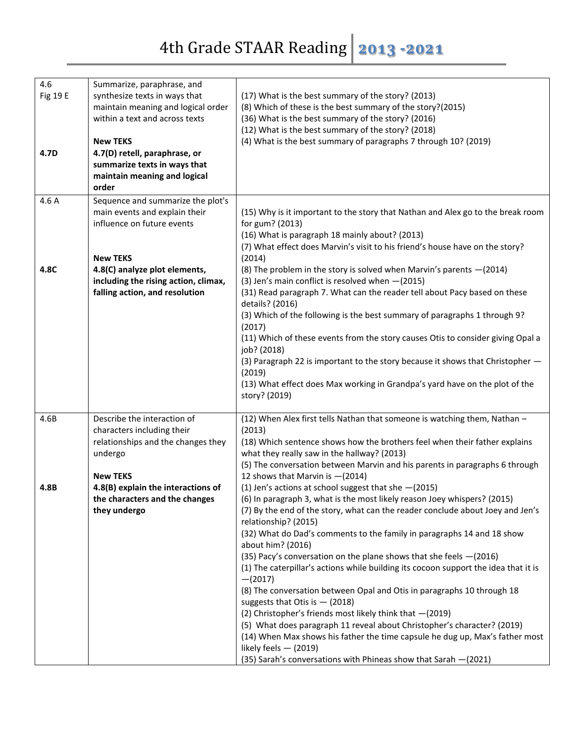| 4.6<br>Fig 19 E<br>4.7D | Summarize, paraphrase, and<br>synthesize texts in ways that<br>maintain meaning and logical order<br>within a text and across texts<br><b>New TEKS</b><br>4.7(D) retell, paraphrase, or<br>summarize texts in ways that<br>maintain meaning and logical<br>order | (17) What is the best summary of the story? (2013)<br>(8) Which of these is the best summary of the story?(2015)<br>(36) What is the best summary of the story? (2016)<br>(12) What is the best summary of the story? (2018)<br>(4) What is the best summary of paragraphs 7 through 10? (2019)                                                                                                                                                                                                                                                                                                                                                                                                                                                                                                                                                                                                                                                            |
|-------------------------|------------------------------------------------------------------------------------------------------------------------------------------------------------------------------------------------------------------------------------------------------------------|------------------------------------------------------------------------------------------------------------------------------------------------------------------------------------------------------------------------------------------------------------------------------------------------------------------------------------------------------------------------------------------------------------------------------------------------------------------------------------------------------------------------------------------------------------------------------------------------------------------------------------------------------------------------------------------------------------------------------------------------------------------------------------------------------------------------------------------------------------------------------------------------------------------------------------------------------------|
| 4.6A                    | Sequence and summarize the plot's<br>main events and explain their<br>influence on future events<br><b>New TEKS</b>                                                                                                                                              | (15) Why is it important to the story that Nathan and Alex go to the break room<br>for gum? (2013)<br>(16) What is paragraph 18 mainly about? (2013)<br>(7) What effect does Marvin's visit to his friend's house have on the story?<br>(2014)                                                                                                                                                                                                                                                                                                                                                                                                                                                                                                                                                                                                                                                                                                             |
| 4.8C                    | 4.8(C) analyze plot elements,<br>including the rising action, climax,<br>falling action, and resolution                                                                                                                                                          | (8) The problem in the story is solved when Marvin's parents $-(2014)$<br>(3) Jen's main conflict is resolved when - (2015)<br>(31) Read paragraph 7. What can the reader tell about Pacy based on these<br>details? (2016)<br>(3) Which of the following is the best summary of paragraphs 1 through 9?<br>(2017)<br>(11) Which of these events from the story causes Otis to consider giving Opal a<br>job? (2018)<br>(3) Paragraph 22 is important to the story because it shows that Christopher -<br>(2019)<br>(13) What effect does Max working in Grandpa's yard have on the plot of the<br>story? (2019)                                                                                                                                                                                                                                                                                                                                           |
| 4.6B                    | Describe the interaction of<br>characters including their<br>relationships and the changes they<br>undergo<br><b>New TEKS</b>                                                                                                                                    | (12) When Alex first tells Nathan that someone is watching them, Nathan -<br>(2013)<br>(18) Which sentence shows how the brothers feel when their father explains<br>what they really saw in the hallway? (2013)<br>(5) The conversation between Marvin and his parents in paragraphs 6 through<br>12 shows that Marvin is -(2014)                                                                                                                                                                                                                                                                                                                                                                                                                                                                                                                                                                                                                         |
| 4.8B                    | 4.8(B) explain the interactions of<br>the characters and the changes<br>they undergo                                                                                                                                                                             | (1) Jen's actions at school suggest that she $-(2015)$<br>(6) In paragraph 3, what is the most likely reason Joey whispers? (2015)<br>(7) By the end of the story, what can the reader conclude about Joey and Jen's<br>relationship? (2015)<br>(32) What do Dad's comments to the family in paragraphs 14 and 18 show<br>about him? (2016)<br>(35) Pacy's conversation on the plane shows that she feels -(2016)<br>(1) The caterpillar's actions while building its cocoon support the idea that it is<br>$-(2017)$<br>(8) The conversation between Opal and Otis in paragraphs 10 through 18<br>suggests that Otis is $-$ (2018)<br>(2) Christopher's friends most likely think that $-(2019)$<br>(5) What does paragraph 11 reveal about Christopher's character? (2019)<br>(14) When Max shows his father the time capsule he dug up, Max's father most<br>likely feels $-$ (2019)<br>(35) Sarah's conversations with Phineas show that Sarah -(2021) |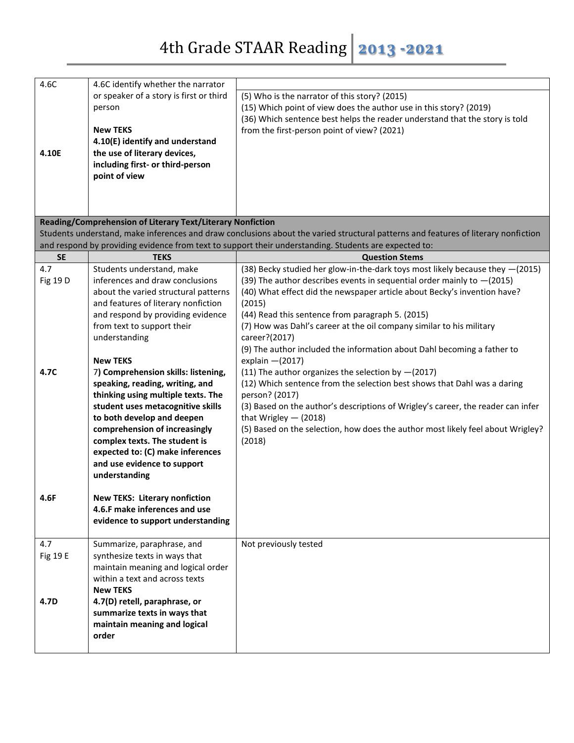| 4.6C      | 4.6C identify whether the narrator                              |                                                                                                                                    |
|-----------|-----------------------------------------------------------------|------------------------------------------------------------------------------------------------------------------------------------|
|           | or speaker of a story is first or third                         | (5) Who is the narrator of this story? (2015)                                                                                      |
|           | person                                                          | (15) Which point of view does the author use in this story? (2019)                                                                 |
|           |                                                                 | (36) Which sentence best helps the reader understand that the story is told                                                        |
|           | <b>New TEKS</b>                                                 | from the first-person point of view? (2021)                                                                                        |
|           | 4.10(E) identify and understand                                 |                                                                                                                                    |
| 4.10E     | the use of literary devices,                                    |                                                                                                                                    |
|           | including first- or third-person                                |                                                                                                                                    |
|           | point of view                                                   |                                                                                                                                    |
|           |                                                                 |                                                                                                                                    |
|           |                                                                 |                                                                                                                                    |
|           |                                                                 |                                                                                                                                    |
|           | Reading/Comprehension of Literary Text/Literary Nonfiction      |                                                                                                                                    |
|           |                                                                 | Students understand, make inferences and draw conclusions about the varied structural patterns and features of literary nonfiction |
|           |                                                                 | and respond by providing evidence from text to support their understanding. Students are expected to:                              |
| <b>SE</b> | <b>TEKS</b>                                                     | <b>Question Stems</b>                                                                                                              |
| 4.7       | Students understand, make                                       | (38) Becky studied her glow-in-the-dark toys most likely because they -(2015)                                                      |
| Fig 19 D  | inferences and draw conclusions                                 | (39) The author describes events in sequential order mainly to $-(2015)$                                                           |
|           | about the varied structural patterns                            | (40) What effect did the newspaper article about Becky's invention have?                                                           |
|           | and features of literary nonfiction                             | (2015)                                                                                                                             |
|           | and respond by providing evidence                               | (44) Read this sentence from paragraph 5. (2015)                                                                                   |
|           | from text to support their                                      | (7) How was Dahl's career at the oil company similar to his military                                                               |
|           | understanding                                                   | career?(2017)                                                                                                                      |
|           |                                                                 | (9) The author included the information about Dahl becoming a father to                                                            |
|           | <b>New TEKS</b>                                                 | explain $-(2017)$                                                                                                                  |
| 4.7C      | 7) Comprehension skills: listening,                             | (11) The author organizes the selection by $-(2017)$                                                                               |
|           | speaking, reading, writing, and                                 | (12) Which sentence from the selection best shows that Dahl was a daring                                                           |
|           | thinking using multiple texts. The                              | person? (2017)                                                                                                                     |
|           | student uses metacognitive skills                               | (3) Based on the author's descriptions of Wrigley's career, the reader can infer                                                   |
|           | to both develop and deepen                                      | that Wrigley $-$ (2018)                                                                                                            |
|           | comprehension of increasingly                                   | (5) Based on the selection, how does the author most likely feel about Wrigley?                                                    |
|           | complex texts. The student is                                   | (2018)                                                                                                                             |
|           | expected to: (C) make inferences<br>and use evidence to support |                                                                                                                                    |
|           | understanding                                                   |                                                                                                                                    |
|           |                                                                 |                                                                                                                                    |
| 4.6F      | <b>New TEKS: Literary nonfiction</b>                            |                                                                                                                                    |
|           | 4.6.F make inferences and use                                   |                                                                                                                                    |
|           | evidence to support understanding                               |                                                                                                                                    |
|           |                                                                 |                                                                                                                                    |
| 4.7       | Summarize, paraphrase, and                                      | Not previously tested                                                                                                              |
| Fig 19 E  | synthesize texts in ways that                                   |                                                                                                                                    |
|           | maintain meaning and logical order                              |                                                                                                                                    |
|           | within a text and across texts                                  |                                                                                                                                    |
|           | <b>New TEKS</b>                                                 |                                                                                                                                    |
| 4.7D      | 4.7(D) retell, paraphrase, or                                   |                                                                                                                                    |
|           | summarize texts in ways that                                    |                                                                                                                                    |
|           | maintain meaning and logical                                    |                                                                                                                                    |
|           | order                                                           |                                                                                                                                    |
|           |                                                                 |                                                                                                                                    |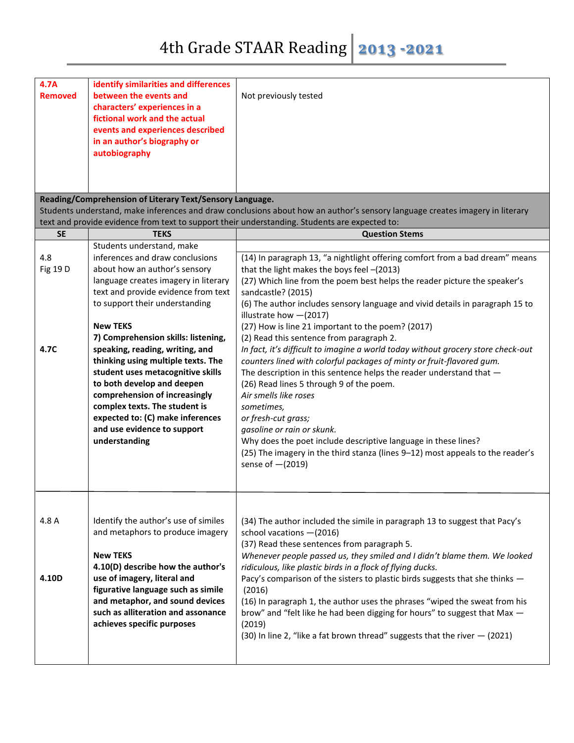| 4.7A<br><b>Removed</b>  | identify similarities and differences<br>between the events and<br>characters' experiences in a<br>fictional work and the actual<br>events and experiences described<br>in an author's biography or<br>autobiography                                                                                                                                                                                                                                                                                                                          | Not previously tested                                                                                                                                                                                                                                                                                                                                                                                                                                                                                                                                                                                                                                                                                                                                                                                                                                                                                                                                                                             |
|-------------------------|-----------------------------------------------------------------------------------------------------------------------------------------------------------------------------------------------------------------------------------------------------------------------------------------------------------------------------------------------------------------------------------------------------------------------------------------------------------------------------------------------------------------------------------------------|---------------------------------------------------------------------------------------------------------------------------------------------------------------------------------------------------------------------------------------------------------------------------------------------------------------------------------------------------------------------------------------------------------------------------------------------------------------------------------------------------------------------------------------------------------------------------------------------------------------------------------------------------------------------------------------------------------------------------------------------------------------------------------------------------------------------------------------------------------------------------------------------------------------------------------------------------------------------------------------------------|
|                         | Reading/Comprehension of Literary Text/Sensory Language.                                                                                                                                                                                                                                                                                                                                                                                                                                                                                      | Students understand, make inferences and draw conclusions about how an author's sensory language creates imagery in literary                                                                                                                                                                                                                                                                                                                                                                                                                                                                                                                                                                                                                                                                                                                                                                                                                                                                      |
|                         |                                                                                                                                                                                                                                                                                                                                                                                                                                                                                                                                               | text and provide evidence from text to support their understanding. Students are expected to:                                                                                                                                                                                                                                                                                                                                                                                                                                                                                                                                                                                                                                                                                                                                                                                                                                                                                                     |
| <b>SE</b>               | <b>TEKS</b>                                                                                                                                                                                                                                                                                                                                                                                                                                                                                                                                   | <b>Question Stems</b>                                                                                                                                                                                                                                                                                                                                                                                                                                                                                                                                                                                                                                                                                                                                                                                                                                                                                                                                                                             |
|                         | Students understand, make                                                                                                                                                                                                                                                                                                                                                                                                                                                                                                                     |                                                                                                                                                                                                                                                                                                                                                                                                                                                                                                                                                                                                                                                                                                                                                                                                                                                                                                                                                                                                   |
| 4.8<br>Fig 19 D<br>4.7C | inferences and draw conclusions<br>about how an author's sensory<br>language creates imagery in literary<br>text and provide evidence from text<br>to support their understanding<br><b>New TEKS</b><br>7) Comprehension skills: listening,<br>speaking, reading, writing, and<br>thinking using multiple texts. The<br>student uses metacognitive skills<br>to both develop and deepen<br>comprehension of increasingly<br>complex texts. The student is<br>expected to: (C) make inferences<br>and use evidence to support<br>understanding | (14) In paragraph 13, "a nightlight offering comfort from a bad dream" means<br>that the light makes the boys feel -(2013)<br>(27) Which line from the poem best helps the reader picture the speaker's<br>sandcastle? (2015)<br>(6) The author includes sensory language and vivid details in paragraph 15 to<br>illustrate how $-(2017)$<br>(27) How is line 21 important to the poem? (2017)<br>(2) Read this sentence from paragraph 2.<br>In fact, it's difficult to imagine a world today without grocery store check-out<br>counters lined with colorful packages of minty or fruit-flavored gum.<br>The description in this sentence helps the reader understand that -<br>(26) Read lines 5 through 9 of the poem.<br>Air smells like roses<br>sometimes,<br>or fresh-cut grass;<br>gasoline or rain or skunk.<br>Why does the poet include descriptive language in these lines?<br>(25) The imagery in the third stanza (lines 9-12) most appeals to the reader's<br>sense of $-(2019)$ |
| 4.8 A<br>4.10D          | Identify the author's use of similes<br>and metaphors to produce imagery<br><b>New TEKS</b><br>4.10(D) describe how the author's<br>use of imagery, literal and<br>figurative language such as simile<br>and metaphor, and sound devices<br>such as alliteration and assonance<br>achieves specific purposes                                                                                                                                                                                                                                  | (34) The author included the simile in paragraph 13 to suggest that Pacy's<br>school vacations - (2016)<br>(37) Read these sentences from paragraph 5.<br>Whenever people passed us, they smiled and I didn't blame them. We looked<br>ridiculous, like plastic birds in a flock of flying ducks.<br>Pacy's comparison of the sisters to plastic birds suggests that she thinks -<br>(2016)<br>(16) In paragraph 1, the author uses the phrases "wiped the sweat from his<br>brow" and "felt like he had been digging for hours" to suggest that Max -<br>(2019)<br>(30) In line 2, "like a fat brown thread" suggests that the river $-$ (2021)                                                                                                                                                                                                                                                                                                                                                  |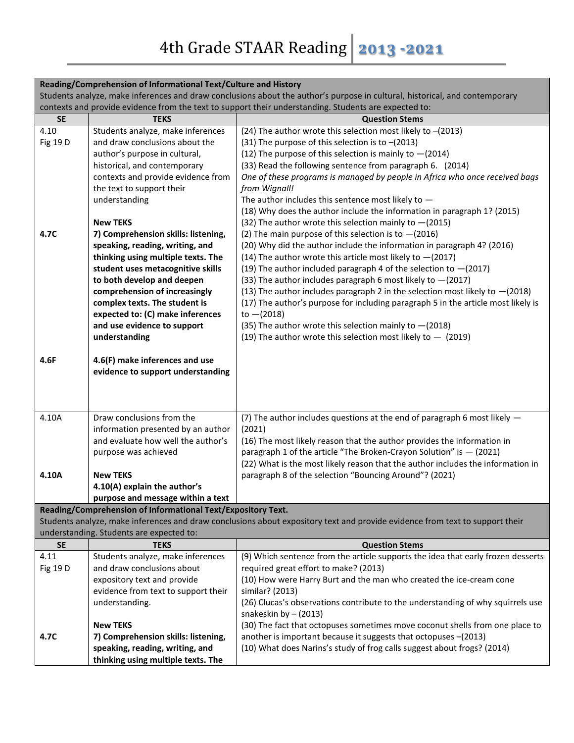|                                                                                                                             | Reading/Comprehension of Informational Text/Culture and History                                       |                                                                                                                              |  |
|-----------------------------------------------------------------------------------------------------------------------------|-------------------------------------------------------------------------------------------------------|------------------------------------------------------------------------------------------------------------------------------|--|
| Students analyze, make inferences and draw conclusions about the author's purpose in cultural, historical, and contemporary |                                                                                                       |                                                                                                                              |  |
|                                                                                                                             | contexts and provide evidence from the text to support their understanding. Students are expected to: |                                                                                                                              |  |
| <b>SE</b>                                                                                                                   | TEKS                                                                                                  | <b>Question Stems</b>                                                                                                        |  |
| 4.10                                                                                                                        | Students analyze, make inferences                                                                     | (24) The author wrote this selection most likely to -(2013)                                                                  |  |
| Fig 19 D                                                                                                                    | and draw conclusions about the                                                                        | (31) The purpose of this selection is to $-(2013)$                                                                           |  |
|                                                                                                                             | author's purpose in cultural,                                                                         | (12) The purpose of this selection is mainly to $-(2014)$                                                                    |  |
|                                                                                                                             | historical, and contemporary                                                                          | (33) Read the following sentence from paragraph 6. (2014)                                                                    |  |
|                                                                                                                             | contexts and provide evidence from                                                                    | One of these programs is managed by people in Africa who once received bags                                                  |  |
|                                                                                                                             | the text to support their                                                                             | from Wignall!                                                                                                                |  |
|                                                                                                                             | understanding                                                                                         | The author includes this sentence most likely to $-$                                                                         |  |
|                                                                                                                             |                                                                                                       | (18) Why does the author include the information in paragraph 1? (2015)                                                      |  |
|                                                                                                                             | <b>New TEKS</b>                                                                                       | (32) The author wrote this selection mainly to $-(2015)$                                                                     |  |
| 4.7C                                                                                                                        | 7) Comprehension skills: listening,                                                                   | (2) The main purpose of this selection is to $-(2016)$                                                                       |  |
|                                                                                                                             | speaking, reading, writing, and                                                                       | (2016) (2016) Why did the author include the information in paragraph 4? (2016)                                              |  |
|                                                                                                                             | thinking using multiple texts. The                                                                    | (14) The author wrote this article most likely to $-(2017)$                                                                  |  |
|                                                                                                                             | student uses metacognitive skills                                                                     | (19) The author included paragraph 4 of the selection to $-(2017)$                                                           |  |
|                                                                                                                             | to both develop and deepen                                                                            | (33) The author includes paragraph 6 most likely to $-(2017)$                                                                |  |
|                                                                                                                             | comprehension of increasingly                                                                         | (13) The author includes paragraph 2 in the selection most likely to $-(2018)$                                               |  |
|                                                                                                                             | complex texts. The student is                                                                         | (17) The author's purpose for including paragraph 5 in the article most likely is                                            |  |
|                                                                                                                             | expected to: (C) make inferences<br>and use evidence to support                                       | to $-(2018)$                                                                                                                 |  |
|                                                                                                                             | understanding                                                                                         | (35) The author wrote this selection mainly to $-(2018)$<br>(19) The author wrote this selection most likely to $-$ (2019)   |  |
|                                                                                                                             |                                                                                                       |                                                                                                                              |  |
| 4.6F                                                                                                                        | 4.6(F) make inferences and use                                                                        |                                                                                                                              |  |
|                                                                                                                             | evidence to support understanding                                                                     |                                                                                                                              |  |
|                                                                                                                             |                                                                                                       |                                                                                                                              |  |
|                                                                                                                             |                                                                                                       |                                                                                                                              |  |
|                                                                                                                             |                                                                                                       |                                                                                                                              |  |
| 4.10A                                                                                                                       | Draw conclusions from the                                                                             | (7) The author includes questions at the end of paragraph 6 most likely -                                                    |  |
|                                                                                                                             | information presented by an author                                                                    | (2021)                                                                                                                       |  |
|                                                                                                                             | and evaluate how well the author's                                                                    | (16) The most likely reason that the author provides the information in                                                      |  |
|                                                                                                                             | purpose was achieved                                                                                  | paragraph 1 of the article "The Broken-Crayon Solution" is - (2021)                                                          |  |
|                                                                                                                             |                                                                                                       | (22) What is the most likely reason that the author includes the information in                                              |  |
| 4.10A                                                                                                                       | <b>New TEKS</b>                                                                                       | paragraph 8 of the selection "Bouncing Around"? (2021)                                                                       |  |
|                                                                                                                             | 4.10(A) explain the author's                                                                          |                                                                                                                              |  |
|                                                                                                                             | purpose and message within a text                                                                     |                                                                                                                              |  |
|                                                                                                                             | Reading/Comprehension of Informational Text/Expository Text.                                          |                                                                                                                              |  |
|                                                                                                                             |                                                                                                       | Students analyze, make inferences and draw conclusions about expository text and provide evidence from text to support their |  |
|                                                                                                                             | understanding. Students are expected to:                                                              |                                                                                                                              |  |
| <b>SE</b>                                                                                                                   | <b>TEKS</b>                                                                                           | <b>Question Stems</b>                                                                                                        |  |
| 4.11                                                                                                                        | Students analyze, make inferences                                                                     | (9) Which sentence from the article supports the idea that early frozen desserts                                             |  |
| Fig 19 D                                                                                                                    | and draw conclusions about                                                                            | required great effort to make? (2013)                                                                                        |  |
|                                                                                                                             | expository text and provide                                                                           | (10) How were Harry Burt and the man who created the ice-cream cone                                                          |  |
|                                                                                                                             | evidence from text to support their                                                                   | similar? (2013)                                                                                                              |  |
|                                                                                                                             | understanding.                                                                                        | (26) Clucas's observations contribute to the understanding of why squirrels use                                              |  |
|                                                                                                                             |                                                                                                       | snakeskin by $-$ (2013)                                                                                                      |  |
|                                                                                                                             | <b>New TEKS</b>                                                                                       | (30) The fact that octopuses sometimes move coconut shells from one place to                                                 |  |
| 4.7C                                                                                                                        | 7) Comprehension skills: listening,                                                                   | another is important because it suggests that octopuses -(2013)                                                              |  |
|                                                                                                                             | speaking, reading, writing, and                                                                       | (10) What does Narins's study of frog calls suggest about frogs? (2014)                                                      |  |
|                                                                                                                             | thinking using multiple texts. The                                                                    |                                                                                                                              |  |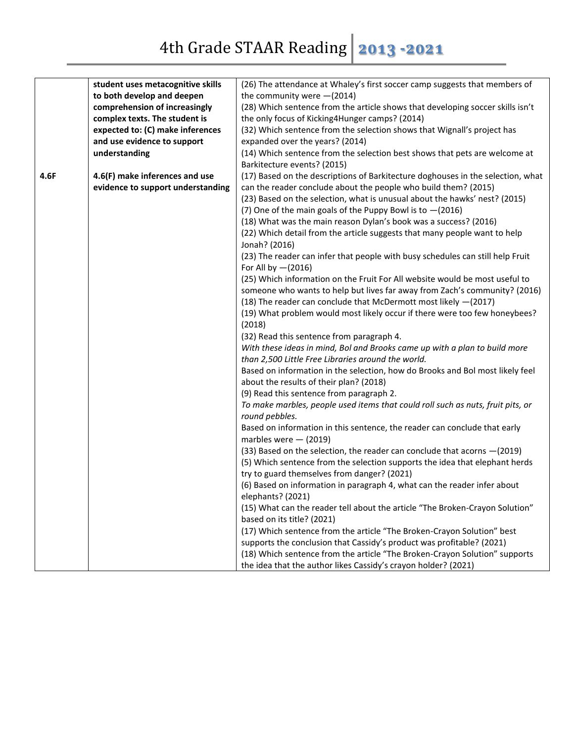|      | student uses metacognitive skills | (26) The attendance at Whaley's first soccer camp suggests that members of                        |
|------|-----------------------------------|---------------------------------------------------------------------------------------------------|
|      | to both develop and deepen        | the community were $-(2014)$                                                                      |
|      | comprehension of increasingly     | (28) Which sentence from the article shows that developing soccer skills isn't                    |
|      | complex texts. The student is     | the only focus of Kicking4Hunger camps? (2014)                                                    |
|      | expected to: (C) make inferences  | (32) Which sentence from the selection shows that Wignall's project has                           |
|      | and use evidence to support       | expanded over the years? (2014)                                                                   |
|      | understanding                     | (14) Which sentence from the selection best shows that pets are welcome at                        |
|      |                                   | Barkitecture events? (2015)                                                                       |
| 4.6F | 4.6(F) make inferences and use    | (17) Based on the descriptions of Barkitecture doghouses in the selection, what                   |
|      | evidence to support understanding | can the reader conclude about the people who build them? (2015)                                   |
|      |                                   | (23) Based on the selection, what is unusual about the hawks' nest? (2015)                        |
|      |                                   | (7) One of the main goals of the Puppy Bowl is to $-(2016)$                                       |
|      |                                   | (18) What was the main reason Dylan's book was a success? (2016)                                  |
|      |                                   | (22) Which detail from the article suggests that many people want to help                         |
|      |                                   | Jonah? (2016)                                                                                     |
|      |                                   | (23) The reader can infer that people with busy schedules can still help Fruit                    |
|      |                                   | For All by $-(2016)$                                                                              |
|      |                                   | (25) Which information on the Fruit For All website would be most useful to                       |
|      |                                   | someone who wants to help but lives far away from Zach's community? (2016)                        |
|      |                                   | (18) The reader can conclude that McDermott most likely -(2017)                                   |
|      |                                   | (19) What problem would most likely occur if there were too few honeybees?                        |
|      |                                   | (2018)                                                                                            |
|      |                                   | (32) Read this sentence from paragraph 4.                                                         |
|      |                                   | With these ideas in mind, Bol and Brooks came up with a plan to build more                        |
|      |                                   | than 2,500 Little Free Libraries around the world.                                                |
|      |                                   | Based on information in the selection, how do Brooks and Bol most likely feel                     |
|      |                                   | about the results of their plan? (2018)                                                           |
|      |                                   | (9) Read this sentence from paragraph 2.                                                          |
|      |                                   | To make marbles, people used items that could roll such as nuts, fruit pits, or                   |
|      |                                   | round pebbles.                                                                                    |
|      |                                   | Based on information in this sentence, the reader can conclude that early                         |
|      |                                   | marbles were $-$ (2019)                                                                           |
|      |                                   | (33) Based on the selection, the reader can conclude that acorns - (2019)                         |
|      |                                   | (5) Which sentence from the selection supports the idea that elephant herds                       |
|      |                                   | try to guard themselves from danger? (2021)                                                       |
|      |                                   | (6) Based on information in paragraph 4, what can the reader infer about                          |
|      |                                   |                                                                                                   |
|      |                                   | elephants? (2021)<br>(15) What can the reader tell about the article "The Broken-Crayon Solution" |
|      |                                   |                                                                                                   |
|      |                                   | based on its title? (2021)                                                                        |
|      |                                   | (17) Which sentence from the article "The Broken-Crayon Solution" best                            |
|      |                                   | supports the conclusion that Cassidy's product was profitable? (2021)                             |
|      |                                   | (18) Which sentence from the article "The Broken-Crayon Solution" supports                        |
|      |                                   | the idea that the author likes Cassidy's crayon holder? (2021)                                    |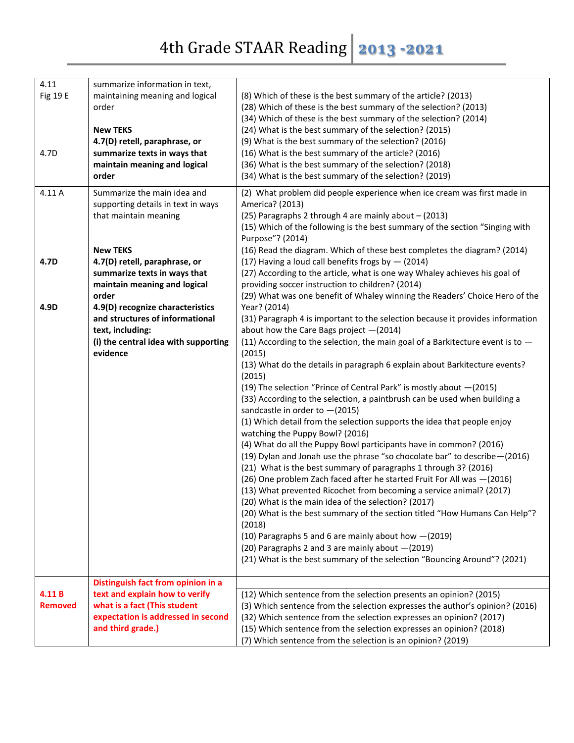## 4th Grade STAAR Reading **2013 -2021**

| 4.11            | summarize information in text,       |                                                                                  |
|-----------------|--------------------------------------|----------------------------------------------------------------------------------|
| <b>Fig 19 E</b> | maintaining meaning and logical      | (8) Which of these is the best summary of the article? (2013)                    |
|                 | order                                | (28) Which of these is the best summary of the selection? (2013)                 |
|                 |                                      |                                                                                  |
|                 |                                      | (34) Which of these is the best summary of the selection? (2014)                 |
|                 | <b>New TEKS</b>                      | (24) What is the best summary of the selection? (2015)                           |
|                 | 4.7(D) retell, paraphrase, or        | (9) What is the best summary of the selection? (2016)                            |
| 4.7D            | summarize texts in ways that         | (16) What is the best summary of the article? (2016)                             |
|                 | maintain meaning and logical         | (36) What is the best summary of the selection? (2018)                           |
|                 | order                                | (34) What is the best summary of the selection? (2019)                           |
| 4.11 A          | Summarize the main idea and          | (2) What problem did people experience when ice cream was first made in          |
|                 | supporting details in text in ways   | America? (2013)                                                                  |
|                 | that maintain meaning                | (25) Paragraphs 2 through 4 are mainly about - (2013)                            |
|                 |                                      | (15) Which of the following is the best summary of the section "Singing with     |
|                 |                                      | Purpose"? (2014)                                                                 |
|                 | <b>New TEKS</b>                      | (16) Read the diagram. Which of these best completes the diagram? (2014)         |
| 4.7D            | 4.7(D) retell, paraphrase, or        | (17) Having a loud call benefits frogs by $-$ (2014)                             |
|                 | summarize texts in ways that         | (27) According to the article, what is one way Whaley achieves his goal of       |
|                 | maintain meaning and logical         | providing soccer instruction to children? (2014)                                 |
|                 | order                                | (29) What was one benefit of Whaley winning the Readers' Choice Hero of the      |
| 4.9D            | 4.9(D) recognize characteristics     | Year? (2014)                                                                     |
|                 | and structures of informational      | (31) Paragraph 4 is important to the selection because it provides information   |
|                 | text, including:                     | about how the Care Bags project $-(2014)$                                        |
|                 | (i) the central idea with supporting | (11) According to the selection, the main goal of a Barkitecture event is to $-$ |
|                 | evidence                             | (2015)                                                                           |
|                 |                                      | (13) What do the details in paragraph 6 explain about Barkitecture events?       |
|                 |                                      | (2015)                                                                           |
|                 |                                      | (19) The selection "Prince of Central Park" is mostly about -(2015)              |
|                 |                                      | (33) According to the selection, a paintbrush can be used when building a        |
|                 |                                      | sandcastle in order to $-(2015)$                                                 |
|                 |                                      | (1) Which detail from the selection supports the idea that people enjoy          |
|                 |                                      | watching the Puppy Bowl? (2016)                                                  |
|                 |                                      | (4) What do all the Puppy Bowl participants have in common? (2016)               |
|                 |                                      | (19) Dylan and Jonah use the phrase "so chocolate bar" to describe-(2016)        |
|                 |                                      | (21) What is the best summary of paragraphs 1 through 3? (2016)                  |
|                 |                                      | (26) One problem Zach faced after he started Fruit For All was -(2016)           |
|                 |                                      | (13) What prevented Ricochet from becoming a service animal? (2017)              |
|                 |                                      | (20) What is the main idea of the selection? (2017)                              |
|                 |                                      | (20) What is the best summary of the section titled "How Humans Can Help"?       |
|                 |                                      | (2018)                                                                           |
|                 |                                      | (10) Paragraphs 5 and 6 are mainly about how -(2019)                             |
|                 |                                      | (20) Paragraphs 2 and 3 are mainly about -(2019)                                 |
|                 |                                      | (21) What is the best summary of the selection "Bouncing Around"? (2021)         |
|                 |                                      |                                                                                  |
|                 | Distinguish fact from opinion in a   |                                                                                  |
| 4.11B           | text and explain how to verify       | (12) Which sentence from the selection presents an opinion? (2015)               |
| <b>Removed</b>  | what is a fact (This student         | (3) Which sentence from the selection expresses the author's opinion? (2016)     |
|                 | expectation is addressed in second   | (32) Which sentence from the selection expresses an opinion? (2017)              |
|                 | and third grade.)                    | (15) Which sentence from the selection expresses an opinion? (2018)              |
|                 |                                      | (7) Which sentence from the selection is an opinion? (2019)                      |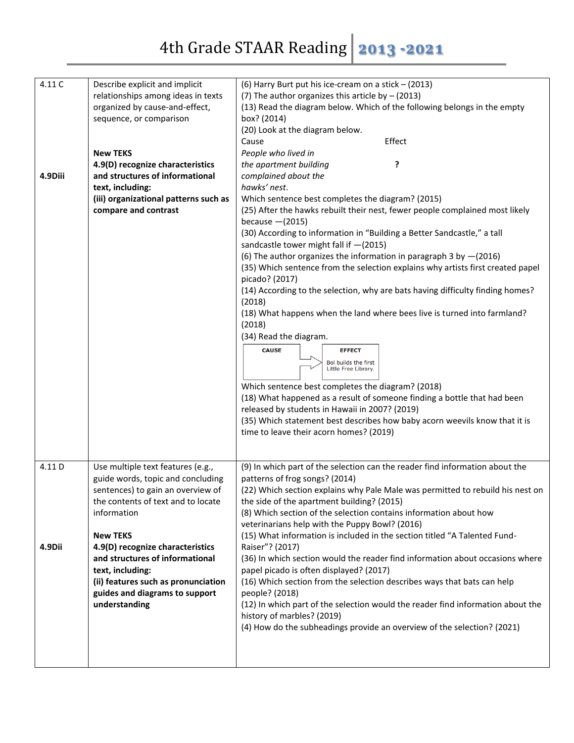| 4.11 C<br>4.9Diii | Describe explicit and implicit<br>relationships among ideas in texts<br>organized by cause-and-effect,<br>sequence, or comparison<br><b>New TEKS</b><br>4.9(D) recognize characteristics<br>and structures of informational<br>text, including:<br>(iii) organizational patterns such as<br>compare and contrast                                                         | (6) Harry Burt put his ice-cream on a stick - (2013)<br>(7) The author organizes this article by $-$ (2013)<br>(13) Read the diagram below. Which of the following belongs in the empty<br>box? (2014)<br>(20) Look at the diagram below.<br>Effect<br>Cause<br>People who lived in<br>the apartment building<br>?<br>complained about the<br>hawks' nest.<br>Which sentence best completes the diagram? (2015)<br>(25) After the hawks rebuilt their nest, fewer people complained most likely<br>because $-(2015)$<br>(30) According to information in "Building a Better Sandcastle," a tall<br>sandcastle tower might fall if $-(2015)$<br>(6) The author organizes the information in paragraph 3 by $-(2016)$<br>(35) Which sentence from the selection explains why artists first created papel<br>picado? (2017)<br>(14) According to the selection, why are bats having difficulty finding homes?<br>(2018)<br>(18) What happens when the land where bees live is turned into farmland?<br>(2018)<br>(34) Read the diagram.<br><b>CAUSE</b><br><b>EFFECT</b><br>Bol builds the first<br>Little Free Library.<br>Which sentence best completes the diagram? (2018)<br>(18) What happened as a result of someone finding a bottle that had been<br>released by students in Hawaii in 2007? (2019)<br>(35) Which statement best describes how baby acorn weevils know that it is<br>time to leave their acorn homes? (2019) |
|-------------------|--------------------------------------------------------------------------------------------------------------------------------------------------------------------------------------------------------------------------------------------------------------------------------------------------------------------------------------------------------------------------|-----------------------------------------------------------------------------------------------------------------------------------------------------------------------------------------------------------------------------------------------------------------------------------------------------------------------------------------------------------------------------------------------------------------------------------------------------------------------------------------------------------------------------------------------------------------------------------------------------------------------------------------------------------------------------------------------------------------------------------------------------------------------------------------------------------------------------------------------------------------------------------------------------------------------------------------------------------------------------------------------------------------------------------------------------------------------------------------------------------------------------------------------------------------------------------------------------------------------------------------------------------------------------------------------------------------------------------------------------------------------------------------------------------------------------------|
|                   |                                                                                                                                                                                                                                                                                                                                                                          |                                                                                                                                                                                                                                                                                                                                                                                                                                                                                                                                                                                                                                                                                                                                                                                                                                                                                                                                                                                                                                                                                                                                                                                                                                                                                                                                                                                                                                   |
| 4.11 D<br>4.9Dii  | Use multiple text features (e.g.,<br>guide words, topic and concluding<br>sentences) to gain an overview of<br>the contents of text and to locate<br>information<br><b>New TEKS</b><br>4.9(D) recognize characteristics<br>and structures of informational<br>text, including:<br>(ii) features such as pronunciation<br>guides and diagrams to support<br>understanding | (9) In which part of the selection can the reader find information about the<br>patterns of frog songs? (2014)<br>(22) Which section explains why Pale Male was permitted to rebuild his nest on<br>the side of the apartment building? (2015)<br>(8) Which section of the selection contains information about how<br>veterinarians help with the Puppy Bowl? (2016)<br>(15) What information is included in the section titled "A Talented Fund-<br>Raiser"? (2017)<br>(36) In which section would the reader find information about occasions where<br>papel picado is often displayed? (2017)<br>(16) Which section from the selection describes ways that bats can help<br>people? (2018)<br>(12) In which part of the selection would the reader find information about the<br>history of marbles? (2019)<br>(4) How do the subheadings provide an overview of the selection? (2021)                                                                                                                                                                                                                                                                                                                                                                                                                                                                                                                                        |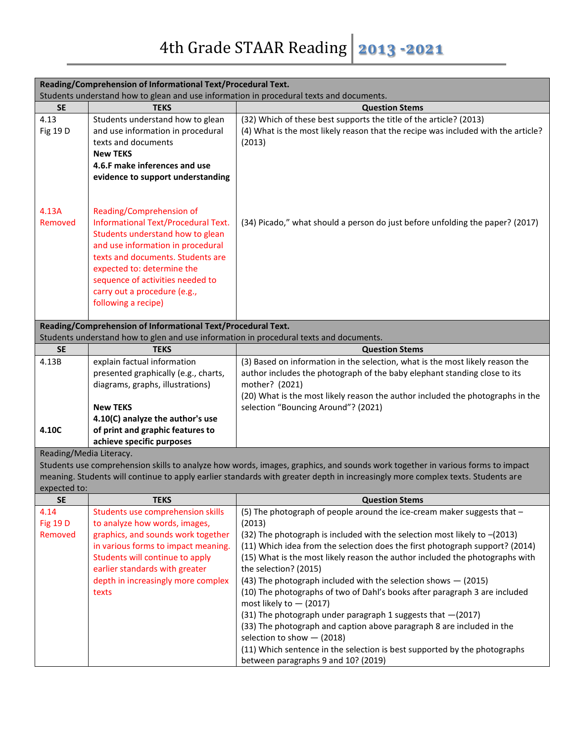| Reading/Comprehension of Informational Text/Procedural Text.                                                                                                                                                                                                                    |                                                                                                                                                                                                                                                                                                        |                                                                                                                                                                                                                                                                                                                                                                                                                                                                                                                                                                                                                                                                                                                                                                                                                                      |  |  |
|---------------------------------------------------------------------------------------------------------------------------------------------------------------------------------------------------------------------------------------------------------------------------------|--------------------------------------------------------------------------------------------------------------------------------------------------------------------------------------------------------------------------------------------------------------------------------------------------------|--------------------------------------------------------------------------------------------------------------------------------------------------------------------------------------------------------------------------------------------------------------------------------------------------------------------------------------------------------------------------------------------------------------------------------------------------------------------------------------------------------------------------------------------------------------------------------------------------------------------------------------------------------------------------------------------------------------------------------------------------------------------------------------------------------------------------------------|--|--|
| Students understand how to glean and use information in procedural texts and documents.                                                                                                                                                                                         |                                                                                                                                                                                                                                                                                                        |                                                                                                                                                                                                                                                                                                                                                                                                                                                                                                                                                                                                                                                                                                                                                                                                                                      |  |  |
| <b>SE</b>                                                                                                                                                                                                                                                                       | <b>TEKS</b>                                                                                                                                                                                                                                                                                            | <b>Question Stems</b>                                                                                                                                                                                                                                                                                                                                                                                                                                                                                                                                                                                                                                                                                                                                                                                                                |  |  |
| 4.13<br>Fig 19 D                                                                                                                                                                                                                                                                | Students understand how to glean<br>and use information in procedural<br>texts and documents<br><b>New TEKS</b><br>4.6.F make inferences and use<br>evidence to support understanding                                                                                                                  | (32) Which of these best supports the title of the article? (2013)<br>(4) What is the most likely reason that the recipe was included with the article?<br>(2013)                                                                                                                                                                                                                                                                                                                                                                                                                                                                                                                                                                                                                                                                    |  |  |
| 4.13A<br>Removed                                                                                                                                                                                                                                                                | Reading/Comprehension of<br>Informational Text/Procedural Text.<br>Students understand how to glean<br>and use information in procedural<br>texts and documents. Students are<br>expected to: determine the<br>sequence of activities needed to<br>carry out a procedure (e.g.,<br>following a recipe) | (34) Picado," what should a person do just before unfolding the paper? (2017)                                                                                                                                                                                                                                                                                                                                                                                                                                                                                                                                                                                                                                                                                                                                                        |  |  |
|                                                                                                                                                                                                                                                                                 | Reading/Comprehension of Informational Text/Procedural Text.                                                                                                                                                                                                                                           |                                                                                                                                                                                                                                                                                                                                                                                                                                                                                                                                                                                                                                                                                                                                                                                                                                      |  |  |
|                                                                                                                                                                                                                                                                                 | Students understand how to glen and use information in procedural texts and documents.                                                                                                                                                                                                                 |                                                                                                                                                                                                                                                                                                                                                                                                                                                                                                                                                                                                                                                                                                                                                                                                                                      |  |  |
| <b>SE</b>                                                                                                                                                                                                                                                                       | <b>TEKS</b>                                                                                                                                                                                                                                                                                            | <b>Question Stems</b>                                                                                                                                                                                                                                                                                                                                                                                                                                                                                                                                                                                                                                                                                                                                                                                                                |  |  |
| 4.13B<br>4.10C                                                                                                                                                                                                                                                                  | explain factual information<br>presented graphically (e.g., charts,<br>diagrams, graphs, illustrations)<br><b>New TEKS</b><br>4.10(C) analyze the author's use<br>of print and graphic features to<br>achieve specific purposes                                                                        | (3) Based on information in the selection, what is the most likely reason the<br>author includes the photograph of the baby elephant standing close to its<br>mother? (2021)<br>(20) What is the most likely reason the author included the photographs in the<br>selection "Bouncing Around"? (2021)                                                                                                                                                                                                                                                                                                                                                                                                                                                                                                                                |  |  |
| Reading/Media Literacy.                                                                                                                                                                                                                                                         |                                                                                                                                                                                                                                                                                                        |                                                                                                                                                                                                                                                                                                                                                                                                                                                                                                                                                                                                                                                                                                                                                                                                                                      |  |  |
| Students use comprehension skills to analyze how words, images, graphics, and sounds work together in various forms to impact<br>meaning. Students will continue to apply earlier standards with greater depth in increasingly more complex texts. Students are<br>expected to: |                                                                                                                                                                                                                                                                                                        |                                                                                                                                                                                                                                                                                                                                                                                                                                                                                                                                                                                                                                                                                                                                                                                                                                      |  |  |
| <b>SE</b>                                                                                                                                                                                                                                                                       | <b>TEKS</b>                                                                                                                                                                                                                                                                                            | <b>Question Stems</b>                                                                                                                                                                                                                                                                                                                                                                                                                                                                                                                                                                                                                                                                                                                                                                                                                |  |  |
| 4.14<br><b>Fig 19 D</b><br>Removed                                                                                                                                                                                                                                              | Students use comprehension skills<br>to analyze how words, images,<br>graphics, and sounds work together<br>in various forms to impact meaning.<br>Students will continue to apply<br>earlier standards with greater<br>depth in increasingly more complex<br>texts                                    | (5) The photograph of people around the ice-cream maker suggests that -<br>(2013)<br>(32) The photograph is included with the selection most likely to $-(2013)$<br>(11) Which idea from the selection does the first photograph support? (2014)<br>(15) What is the most likely reason the author included the photographs with<br>the selection? (2015)<br>(43) The photograph included with the selection shows $-$ (2015)<br>(10) The photographs of two of Dahl's books after paragraph 3 are included<br>most likely to $-$ (2017)<br>(31) The photograph under paragraph 1 suggests that -(2017)<br>(33) The photograph and caption above paragraph 8 are included in the<br>selection to show $-$ (2018)<br>(11) Which sentence in the selection is best supported by the photographs<br>between paragraphs 9 and 10? (2019) |  |  |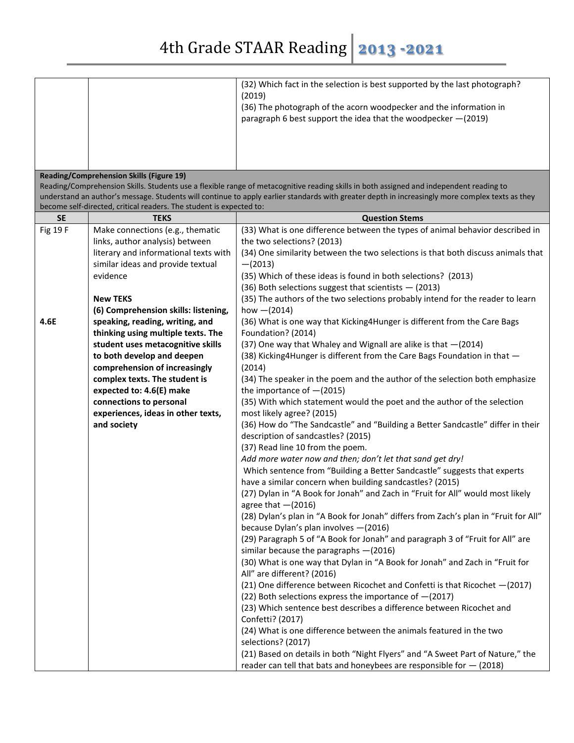|                                                                                                                                                                                                                                                                                                                                               |                                                                                    | (32) Which fact in the selection is best supported by the last photograph?<br>(2019)<br>(36) The photograph of the acorn woodpecker and the information in<br>paragraph 6 best support the idea that the woodpecker -(2019) |  |  |
|-----------------------------------------------------------------------------------------------------------------------------------------------------------------------------------------------------------------------------------------------------------------------------------------------------------------------------------------------|------------------------------------------------------------------------------------|-----------------------------------------------------------------------------------------------------------------------------------------------------------------------------------------------------------------------------|--|--|
|                                                                                                                                                                                                                                                                                                                                               |                                                                                    |                                                                                                                                                                                                                             |  |  |
| <b>Reading/Comprehension Skills (Figure 19)</b><br>Reading/Comprehension Skills. Students use a flexible range of metacognitive reading skills in both assigned and independent reading to<br>understand an author's message. Students will continue to apply earlier standards with greater depth in increasingly more complex texts as they |                                                                                    |                                                                                                                                                                                                                             |  |  |
| <b>SE</b>                                                                                                                                                                                                                                                                                                                                     | become self-directed, critical readers. The student is expected to:<br><b>TEKS</b> | <b>Question Stems</b>                                                                                                                                                                                                       |  |  |
| Fig 19 F                                                                                                                                                                                                                                                                                                                                      | Make connections (e.g., thematic                                                   | (33) What is one difference between the types of animal behavior described in                                                                                                                                               |  |  |
|                                                                                                                                                                                                                                                                                                                                               | links, author analysis) between                                                    | the two selections? (2013)                                                                                                                                                                                                  |  |  |
|                                                                                                                                                                                                                                                                                                                                               | literary and informational texts with                                              | (34) One similarity between the two selections is that both discuss animals that                                                                                                                                            |  |  |
|                                                                                                                                                                                                                                                                                                                                               | similar ideas and provide textual                                                  | $-(2013)$                                                                                                                                                                                                                   |  |  |
|                                                                                                                                                                                                                                                                                                                                               | evidence                                                                           | (35) Which of these ideas is found in both selections? (2013)                                                                                                                                                               |  |  |
|                                                                                                                                                                                                                                                                                                                                               |                                                                                    | $(36)$ Both selections suggest that scientists $-$ (2013)                                                                                                                                                                   |  |  |
|                                                                                                                                                                                                                                                                                                                                               | <b>New TEKS</b><br>(6) Comprehension skills: listening,                            | (35) The authors of the two selections probably intend for the reader to learn<br>how $-(2014)$                                                                                                                             |  |  |
| 4.6E                                                                                                                                                                                                                                                                                                                                          | speaking, reading, writing, and                                                    | (36) What is one way that Kicking4Hunger is different from the Care Bags                                                                                                                                                    |  |  |
|                                                                                                                                                                                                                                                                                                                                               | thinking using multiple texts. The                                                 | Foundation? (2014)                                                                                                                                                                                                          |  |  |
|                                                                                                                                                                                                                                                                                                                                               | student uses metacognitive skills                                                  | (37) One way that Whaley and Wignall are alike is that -(2014)                                                                                                                                                              |  |  |
|                                                                                                                                                                                                                                                                                                                                               | to both develop and deepen                                                         | (38) Kicking4Hunger is different from the Care Bags Foundation in that -                                                                                                                                                    |  |  |
|                                                                                                                                                                                                                                                                                                                                               | comprehension of increasingly                                                      | (2014)                                                                                                                                                                                                                      |  |  |
|                                                                                                                                                                                                                                                                                                                                               | complex texts. The student is                                                      | (34) The speaker in the poem and the author of the selection both emphasize                                                                                                                                                 |  |  |
|                                                                                                                                                                                                                                                                                                                                               | expected to: 4.6(E) make                                                           | the importance of $-(2015)$                                                                                                                                                                                                 |  |  |
|                                                                                                                                                                                                                                                                                                                                               | connections to personal                                                            | (35) With which statement would the poet and the author of the selection                                                                                                                                                    |  |  |
|                                                                                                                                                                                                                                                                                                                                               | experiences, ideas in other texts,                                                 | most likely agree? (2015)                                                                                                                                                                                                   |  |  |
|                                                                                                                                                                                                                                                                                                                                               | and society                                                                        | (36) How do "The Sandcastle" and "Building a Better Sandcastle" differ in their<br>description of sandcastles? (2015)                                                                                                       |  |  |
|                                                                                                                                                                                                                                                                                                                                               |                                                                                    | (37) Read line 10 from the poem.                                                                                                                                                                                            |  |  |
|                                                                                                                                                                                                                                                                                                                                               |                                                                                    | Add more water now and then; don't let that sand get dry!                                                                                                                                                                   |  |  |
|                                                                                                                                                                                                                                                                                                                                               |                                                                                    | Which sentence from "Building a Better Sandcastle" suggests that experts                                                                                                                                                    |  |  |
|                                                                                                                                                                                                                                                                                                                                               |                                                                                    | have a similar concern when building sandcastles? (2015)                                                                                                                                                                    |  |  |
|                                                                                                                                                                                                                                                                                                                                               |                                                                                    | (27) Dylan in "A Book for Jonah" and Zach in "Fruit for All" would most likely                                                                                                                                              |  |  |
|                                                                                                                                                                                                                                                                                                                                               |                                                                                    | agree that $-(2016)$                                                                                                                                                                                                        |  |  |
|                                                                                                                                                                                                                                                                                                                                               |                                                                                    | (28) Dylan's plan in "A Book for Jonah" differs from Zach's plan in "Fruit for All"                                                                                                                                         |  |  |
|                                                                                                                                                                                                                                                                                                                                               |                                                                                    | because Dylan's plan involves -(2016)                                                                                                                                                                                       |  |  |
|                                                                                                                                                                                                                                                                                                                                               |                                                                                    | (29) Paragraph 5 of "A Book for Jonah" and paragraph 3 of "Fruit for All" are                                                                                                                                               |  |  |
|                                                                                                                                                                                                                                                                                                                                               |                                                                                    | similar because the paragraphs $-(2016)$                                                                                                                                                                                    |  |  |
|                                                                                                                                                                                                                                                                                                                                               |                                                                                    | (30) What is one way that Dylan in "A Book for Jonah" and Zach in "Fruit for<br>All" are different? (2016)                                                                                                                  |  |  |
|                                                                                                                                                                                                                                                                                                                                               |                                                                                    | (21) One difference between Ricochet and Confetti is that Ricochet -(2017)                                                                                                                                                  |  |  |
|                                                                                                                                                                                                                                                                                                                                               |                                                                                    | (22) Both selections express the importance of $-(2017)$<br>(23) Which sentence best describes a difference between Ricochet and                                                                                            |  |  |
|                                                                                                                                                                                                                                                                                                                                               |                                                                                    | Confetti? (2017)                                                                                                                                                                                                            |  |  |
|                                                                                                                                                                                                                                                                                                                                               |                                                                                    | (24) What is one difference between the animals featured in the two                                                                                                                                                         |  |  |
|                                                                                                                                                                                                                                                                                                                                               |                                                                                    | selections? (2017)                                                                                                                                                                                                          |  |  |
|                                                                                                                                                                                                                                                                                                                                               |                                                                                    | (21) Based on details in both "Night Flyers" and "A Sweet Part of Nature," the                                                                                                                                              |  |  |
|                                                                                                                                                                                                                                                                                                                                               |                                                                                    | reader can tell that bats and honeybees are responsible for $-$ (2018)                                                                                                                                                      |  |  |